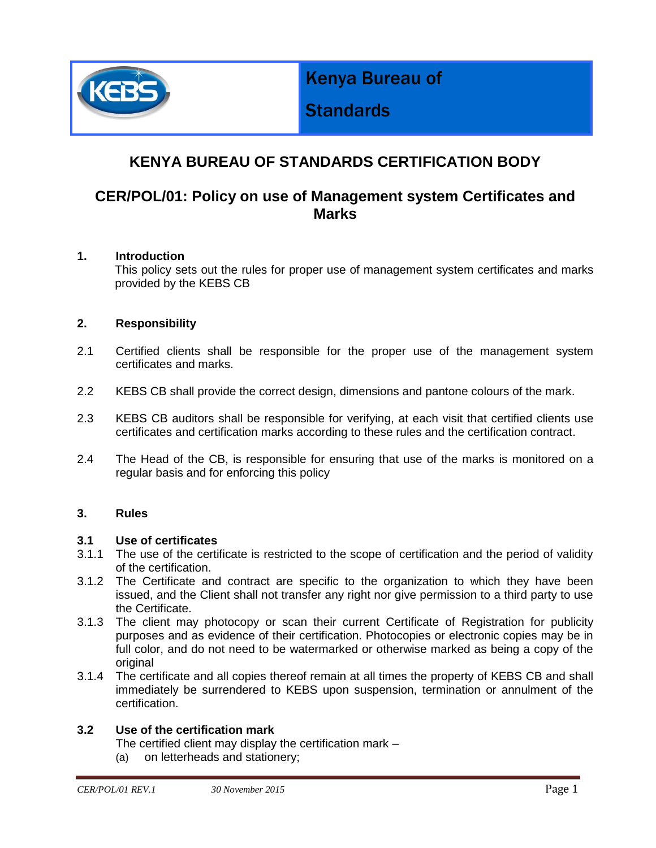

Kenya Bureau of

# **Standards**

## **KENYA BUREAU OF STANDARDS CERTIFICATION BODY**

### **CER/POL/01: Policy on use of Management system Certificates and Marks**

#### **1. Introduction**

This policy sets out the rules for proper use of management system certificates and marks provided by the KEBS CB

#### **2. Responsibility**

- 2.1 Certified clients shall be responsible for the proper use of the management system certificates and marks.
- 2.2 KEBS CB shall provide the correct design, dimensions and pantone colours of the mark.
- 2.3 KEBS CB auditors shall be responsible for verifying, at each visit that certified clients use certificates and certification marks according to these rules and the certification contract.
- 2.4 The Head of the CB, is responsible for ensuring that use of the marks is monitored on a regular basis and for enforcing this policy

#### **3. Rules**

#### **3.1 Use of certificates**

- 3.1.1 The use of the certificate is restricted to the scope of certification and the period of validity of the certification.
- 3.1.2 The Certificate and contract are specific to the organization to which they have been issued, and the Client shall not transfer any right nor give permission to a third party to use the Certificate.
- 3.1.3 The client may photocopy or scan their current Certificate of Registration for publicity purposes and as evidence of their certification. Photocopies or electronic copies may be in full color, and do not need to be watermarked or otherwise marked as being a copy of the original
- 3.1.4 The certificate and all copies thereof remain at all times the property of KEBS CB and shall immediately be surrendered to KEBS upon suspension, termination or annulment of the certification.

#### **3.2 Use of the certification mark**

The certified client may display the certification mark –

(a) on letterheads and stationery;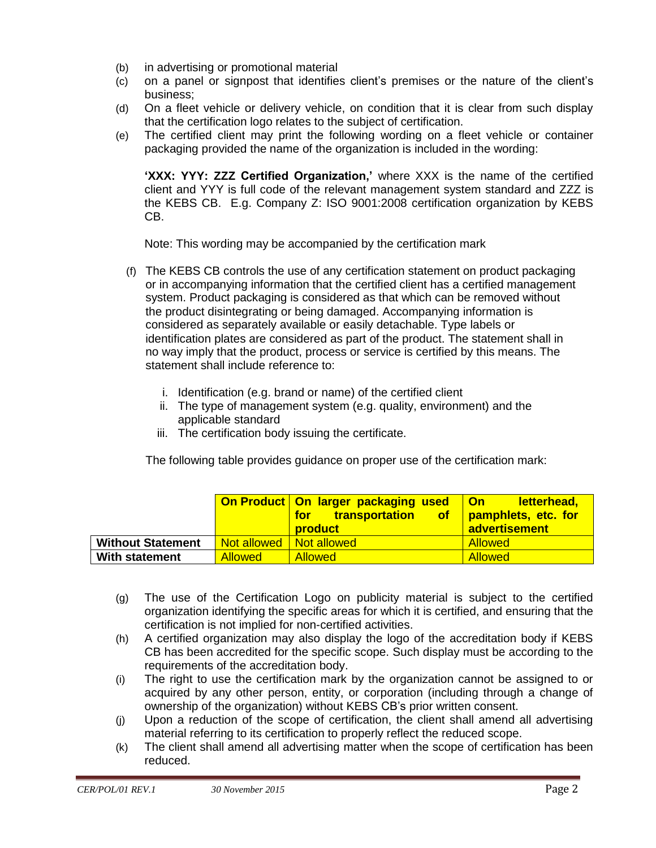- (b) in advertising or promotional material
- (c) on a panel or signpost that identifies client's premises or the nature of the client's business;
- (d) On a fleet vehicle or delivery vehicle, on condition that it is clear from such display that the certification logo relates to the subject of certification.
- (e) The certified client may print the following wording on a fleet vehicle or container packaging provided the name of the organization is included in the wording:

**'XXX: YYY: ZZZ Certified Organization,'** where XXX is the name of the certified client and YYY is full code of the relevant management system standard and ZZZ is the KEBS CB. E.g. Company Z: ISO 9001:2008 certification organization by KEBS CB.

Note: This wording may be accompanied by the certification mark

- (f) The KEBS CB controls the use of any certification statement on product packaging or in accompanying information that the certified client has a certified management system. Product packaging is considered as that which can be removed without the product disintegrating or being damaged. Accompanying information is considered as separately available or easily detachable. Type labels or identification plates are considered as part of the product. The statement shall in no way imply that the product, process or service is certified by this means. The statement shall include reference to:
	- i. Identification (e.g. brand or name) of the certified client
	- ii. The type of management system (e.g. quality, environment) and the applicable standard
	- iii. The certification body issuing the certificate.

The following table provides guidance on proper use of the certification mark:

|                          |                        | On Product   On larger packaging used   On<br>transportation of pamphlets, etc. for<br>for <b>f</b><br><b>product</b> | letterhead,<br>advertisement |
|--------------------------|------------------------|-----------------------------------------------------------------------------------------------------------------------|------------------------------|
| <b>Without Statement</b> | <u>l Not allowed I</u> | Not allowed                                                                                                           | <b>Allowed</b>               |
| With statement           | <b>Allowed</b>         | <b>Allowed</b>                                                                                                        | <b>Allowed</b>               |

- (g) The use of the Certification Logo on publicity material is subject to the certified organization identifying the specific areas for which it is certified, and ensuring that the certification is not implied for non-certified activities.
- (h) A certified organization may also display the logo of the accreditation body if KEBS CB has been accredited for the specific scope. Such display must be according to the requirements of the accreditation body.
- (i) The right to use the certification mark by the organization cannot be assigned to or acquired by any other person, entity, or corporation (including through a change of ownership of the organization) without KEBS CB's prior written consent.
- (j) Upon a reduction of the scope of certification, the client shall amend all advertising material referring to its certification to properly reflect the reduced scope.
- (k) The client shall amend all advertising matter when the scope of certification has been reduced.